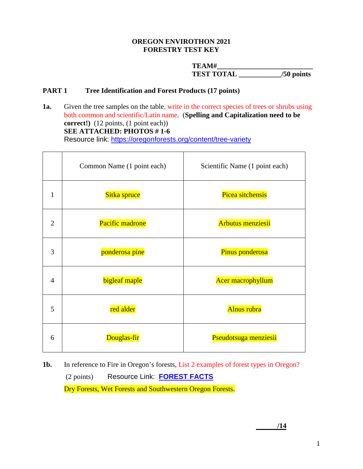#### **OREGON ENVIROTHON 2021 FORESTRY TEST KEY**

**TEAM#\_\_\_\_\_\_\_\_\_\_\_\_\_\_\_\_\_\_\_\_\_\_\_\_\_\_\_ TEST TOTAL \_\_\_\_\_\_\_\_\_\_\_\_/50 points**

## **PART 1 Tree Identification and Forest Products (17 points)**

**1a.** Given the tree samples on the table, write in the correct species of trees or shrubs using both common and scientific/Latin name. (**Spelling and Capitalization need to be correct!)** (12 points, (1 point each))  **SEE ATTACHED: PHOTOS # 1-6** Resource link: <https://oregonforests.org/content/tree-variety>

|                | Common Name (1 point each) | Scientific Name (1 point each) |
|----------------|----------------------------|--------------------------------|
| 1              | Sitka spruce               | Picea sitchensis               |
| 2              | Pacific madrone            | <b>Arbutus menziesii</b>       |
| 3              | ponderosa pine             | Pinus ponderosa                |
| $\overline{4}$ | bigleaf maple              | <b>Acer macrophyllum</b>       |
| 5              | red alder                  | Alnus rubra                    |
| 6              | Douglas-fir                | Pseudotsuga menziesii          |

**1b.** In reference to Fire in Oregon's forests, List 2 examples of forest types in Oregon? (2 points) Resource Link: **[FOREST FACTS](https://oregonforests.org/sites/default/files/2019-01/OFRI_2019-20_ForestFacts_WEB.pdf)** Dry Forests, Wet Forests and Southwestern Oregon Forests.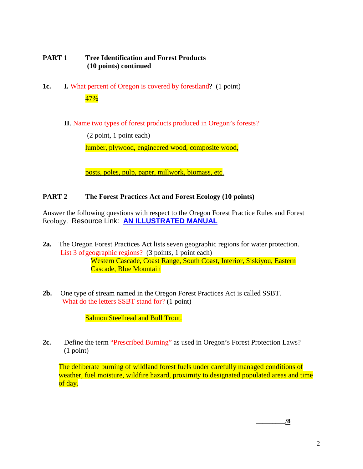## **PART 1 Tree Identification and Forest Products (10 points) continued**

- **1c. I.** What percent of Oregon is covered by forestland? (1 point) 47%
	- **II**. Name two types of forest products produced in Oregon's forests?

(2 point, 1 point each)

lumber, plywood, engineered wood, composite wood,

posts, poles, pulp, paper, millwork, biomass, etc.

## **PART 2 The Forest Practices Act and Forest Ecology (10 points)**

Answer the following questions with respect to the Oregon Forest Practice Rules and Forest Ecology. Resource Link: **[AN ILLUSTRATED MANUAL](https://oregonforests.org/sites/default/files/2018-02/OFRI_IllusManual_full.pdf)**

- **2a.** The Oregon Forest Practices Act lists seven geographic regions for water protection. List 3 of geographic regions?  $(3 \text{ points}, 1 \text{ point each})$ Western Cascade, Coast Range, South Coast, Interior, Siskiyou, Eastern Cascade, Blue Mountain
- **2b.** One type of stream named in the Oregon Forest Practices Act is called SSBT. What do the letters SSBT stand for? (1 point)

Salmon Steelhead and Bull Trout.

**2c.** Define the term "Prescribed Burning" as used in Oregon's Forest Protection Laws? (1 point)

The deliberate burning of wildland forest fuels under carefully managed conditions of weather, fuel moisture, wildfire hazard, proximity to designated populated areas and time of day.

**\_\_\_\_\_\_\_\_\_/8**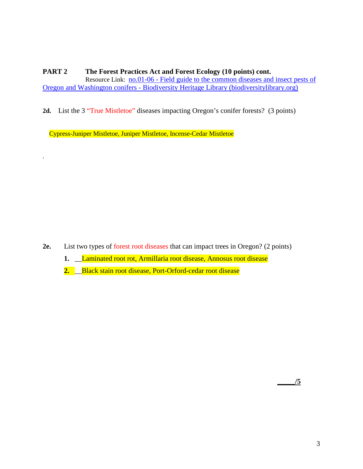## **PART 2 The Forest Practices Act and Forest Ecology (10 points) cont.**

Resource Link: no.01-06 - [Field guide to the common diseases and insect pests of](https://www.biodiversitylibrary.org/item/152991#page/8/mode/1up)  Oregon and Washington conifers - [Biodiversity Heritage Library \(biodiversitylibrary.org\)](https://www.biodiversitylibrary.org/item/152991#page/8/mode/1up)

**2d.** List the 3 "True Mistletoe" diseases impacting Oregon's conifer forests? (3 points)

Cypress-Juniper Mistletoe, Juniper Mistletoe, Incense-Cedar Mistletoe

.

- **2e.** List two types of forest root diseases that can impact trees in Oregon? (2 points)
	- **1.** \_\_Laminated root rot, Armillaria root disease, Annosus root disease
	- **2.** \_\_Black stain root disease, Port-Orford-cedar root disease

**\_\_\_\_\_/5**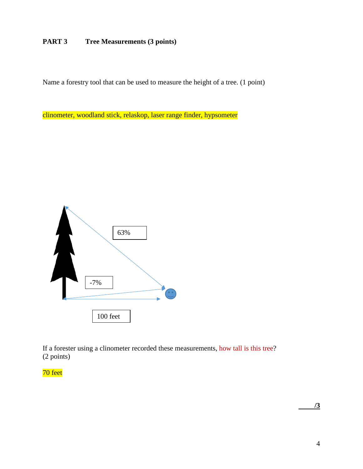## **PART 3 Tree Measurements (3 points)**

Name a forestry tool that can be used to measure the height of a tree. (1 point)

clinometer, woodland stick, relaskop, laser range finder, hypsometer



If a forester using a clinometer recorded these measurements, how tall is this tree? (2 points)

# 70 feet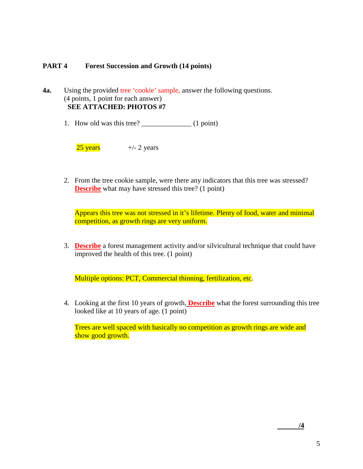## **PART 4 Forest Succession and Growth (14 points)**

**4a.** Using the provided tree 'cookie' sample, answer the following questions. (4 points, 1 point for each answer) **SEE ATTACHED: PHOTOS #7**

1. How old was this tree?  $(1 point)$ 

 $25 \text{ years}$   $+/- 2 \text{ years}$ 

2. From the tree cookie sample, were there any indicators that this tree was stressed? **Describe** what may have stressed this tree? (1 point)

Appears this tree was not stressed in it's lifetime. Plenty of food, water and minimal competition, as growth rings are very uniform.

3. **Describe** a forest management activity and/or silvicultural technique that could have improved the health of this tree. (1 point)

Multiple options: PCT, Commercial thinning, fertilization, etc.

4. Looking at the first 10 years of growth, **Describe** what the forest surrounding this tree looked like at 10 years of age. (1 point)

Trees are well spaced with basically no competition as growth rings are wide and show good growth.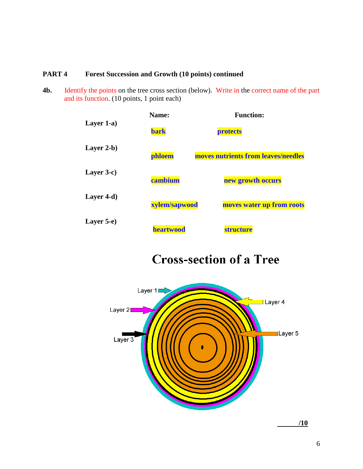## **PART 4 Forest Succession and Growth (10 points) continued**

**4b.** Identify the points on the tree cross section (below). Write in the correct name of the part and its function. (10 points, 1 point each)



# **Cross-section of a Tree**